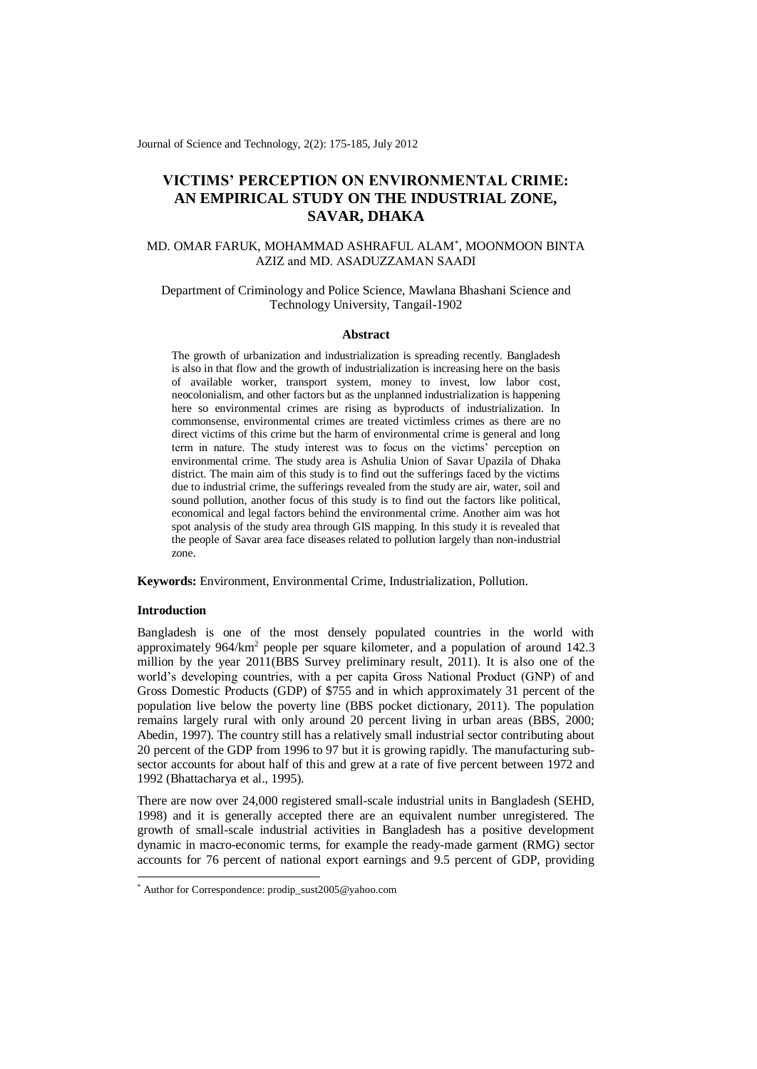Journal of Science and Technology, 2(2): 175-185, July 2012

# **VICTIMS' PERCEPTION ON ENVIRONMENTAL CRIME: AN EMPIRICAL STUDY ON THE INDUSTRIAL ZONE, SAVAR, DHAKA**

# MD. OMAR FARUK, MOHAMMAD ASHRAFUL ALAM\* , MOONMOON BINTA AZIZ and MD. ASADUZZAMAN SAADI

# Department of Criminology and Police Science, Mawlana Bhashani Science and Technology University, Tangail-1902

### **Abstract**

The growth of urbanization and industrialization is spreading recently. Bangladesh is also in that flow and the growth of industrialization is increasing here on the basis of available worker, transport system, money to invest, low labor cost, neocolonialism, and other factors but as the unplanned industrialization is happening here so environmental crimes are rising as byproducts of industrialization. In commonsense, environmental crimes are treated victimless crimes as there are no direct victims of this crime but the harm of environmental crime is general and long term in nature. The study interest was to focus on the victims' perception on environmental crime. The study area is Ashulia Union of Savar Upazila of Dhaka district. The main aim of this study is to find out the sufferings faced by the victims due to industrial crime, the sufferings revealed from the study are air, water, soil and sound pollution, another focus of this study is to find out the factors like political, economical and legal factors behind the environmental crime. Another aim was hot spot analysis of the study area through GIS mapping. In this study it is revealed that the people of Savar area face diseases related to pollution largely than non-industrial zone.

**Keywords:** Environment, Environmental Crime, Industrialization, Pollution.

# **Introduction**

-

Bangladesh is one of the most densely populated countries in the world with approximately 964/km<sup>2</sup> people per square kilometer, and a population of around 142.3 million by the year 2011(BBS Survey preliminary result, 2011). It is also one of the world's developing countries, with a per capita Gross National Product (GNP) of and Gross Domestic Products (GDP) of \$755 and in which approximately 31 percent of the population live below the poverty line (BBS pocket dictionary, 2011). The population remains largely rural with only around 20 percent living in urban areas (BBS, 2000; Abedin, 1997). The country still has a relatively small industrial sector contributing about 20 percent of the GDP from 1996 to 97 but it is growing rapidly. The manufacturing subsector accounts for about half of this and grew at a rate of five percent between 1972 and 1992 (Bhattacharya et al., 1995).

There are now over 24,000 registered small-scale industrial units in Bangladesh (SEHD, 1998) and it is generally accepted there are an equivalent number unregistered. The growth of small-scale industrial activities in Bangladesh has a positive development dynamic in macro-economic terms, for example the ready-made garment (RMG) sector accounts for 76 percent of national export earnings and 9.5 percent of GDP, providing

<sup>\*</sup> Author for Correspondence: prodip\_sust2005@yahoo.com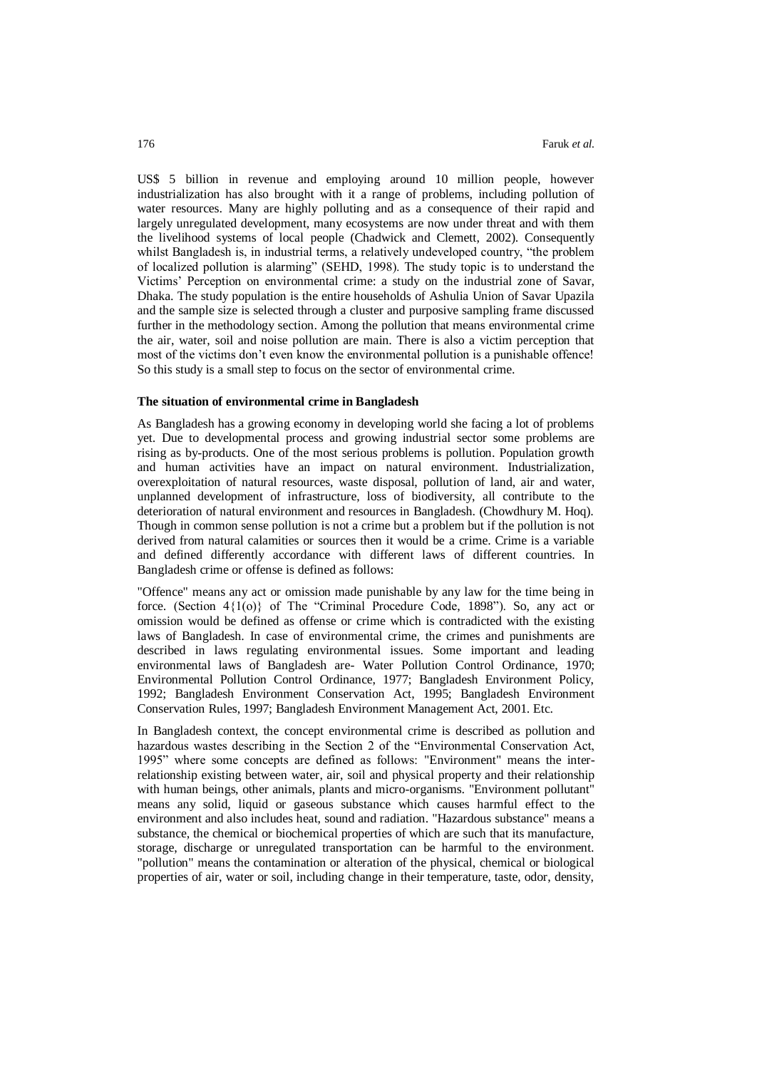US\$ 5 billion in revenue and employing around 10 million people, however industrialization has also brought with it a range of problems, including pollution of water resources. Many are highly polluting and as a consequence of their rapid and largely unregulated development, many ecosystems are now under threat and with them the livelihood systems of local people (Chadwick and Clemett, 2002). Consequently whilst Bangladesh is, in industrial terms, a relatively undeveloped country, "the problem of localized pollution is alarming" (SEHD, 1998). The study topic is to understand the Victims' Perception on environmental crime: a study on the industrial zone of Savar, Dhaka. The study population is the entire households of Ashulia Union of Savar Upazila and the sample size is selected through a cluster and purposive sampling frame discussed further in the methodology section. Among the pollution that means environmental crime the air, water, soil and noise pollution are main. There is also a victim perception that most of the victims don't even know the environmental pollution is a punishable offence! So this study is a small step to focus on the sector of environmental crime.

#### **The situation of environmental crime in Bangladesh**

As Bangladesh has a growing economy in developing world she facing a lot of problems yet. Due to developmental process and growing industrial sector some problems are rising as by-products. One of the most serious problems is pollution. Population growth and human activities have an impact on natural environment. Industrialization, overexploitation of natural resources, waste disposal, pollution of land, air and water, unplanned development of infrastructure, loss of biodiversity, all contribute to the deterioration of natural environment and resources in Bangladesh. (Chowdhury M. Hoq). Though in common sense pollution is not a crime but a problem but if the pollution is not derived from natural calamities or sources then it would be a crime. Crime is a variable and defined differently accordance with different laws of different countries. In Bangladesh crime or offense is defined as follows:

"Offence" means any act or omission made punishable by any law for the time being in force. (Section 4{1(o)} of The "Criminal Procedure Code, 1898"). So, any act or omission would be defined as offense or crime which is contradicted with the existing laws of Bangladesh. In case of environmental crime, the crimes and punishments are described in laws regulating environmental issues. Some important and leading environmental laws of Bangladesh are- Water Pollution Control Ordinance, 1970; Environmental Pollution Control Ordinance, 1977; Bangladesh Environment Policy, 1992; Bangladesh Environment Conservation Act, 1995; Bangladesh Environment Conservation Rules, 1997; Bangladesh Environment Management Act, 2001. Etc.

In Bangladesh context, the concept environmental crime is described as pollution and hazardous wastes describing in the Section 2 of the "Environmental Conservation Act, 1995" where some concepts are defined as follows: "Environment" means the interrelationship existing between water, air, soil and physical property and their relationship with human beings, other animals, plants and micro-organisms. "Environment pollutant" means any solid, liquid or gaseous substance which causes harmful effect to the environment and also includes heat, sound and radiation. "Hazardous substance" means a substance, the chemical or biochemical properties of which are such that its manufacture, storage, discharge or unregulated transportation can be harmful to the environment. "pollution" means the contamination or alteration of the physical, chemical or biological properties of air, water or soil, including change in their temperature, taste, odor, density,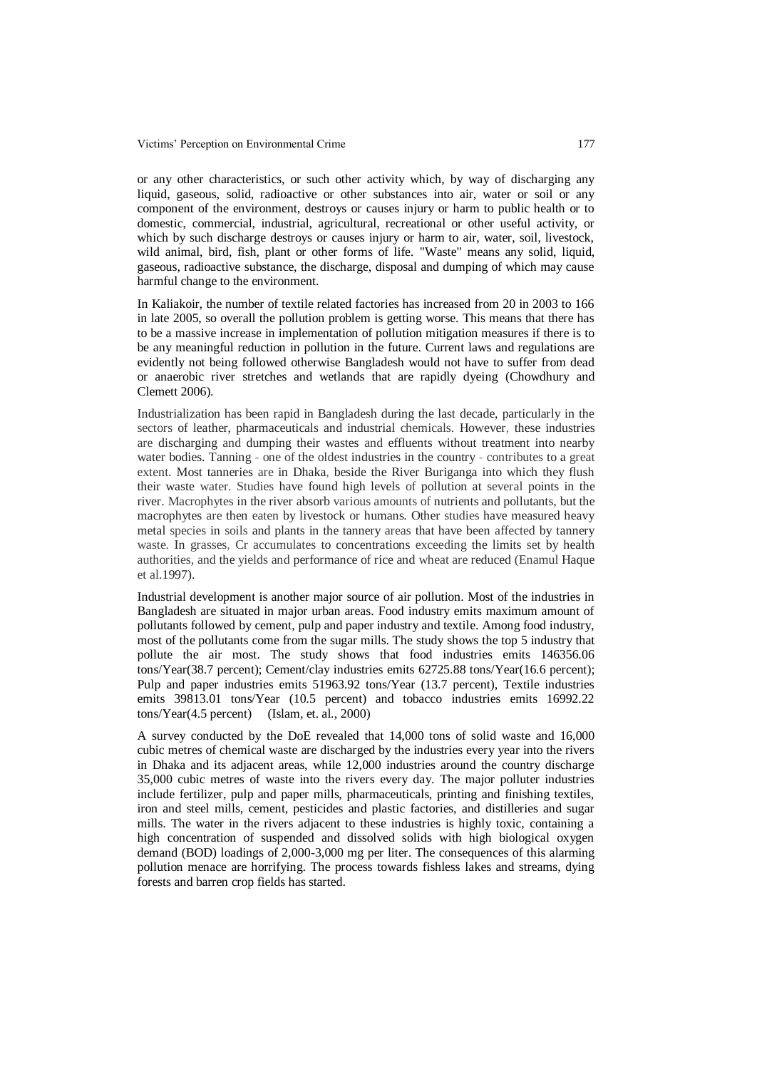or any other characteristics, or such other activity which, by way of discharging any liquid, gaseous, solid, radioactive or other substances into air, water or soil or any component of the environment, destroys or causes injury or harm to public health or to domestic, commercial, industrial, agricultural, recreational or other useful activity, or which by such discharge destroys or causes injury or harm to air, water, soil, livestock, wild animal, bird, fish, plant or other forms of life. "Waste" means any solid, liquid, gaseous, radioactive substance, the discharge, disposal and dumping of which may cause harmful change to the environment.

In Kaliakoir, the number of textile related factories has increased from 20 in 2003 to 166 in late 2005, so overall the pollution problem is getting worse. This means that there has to be a massive increase in implementation of pollution mitigation measures if there is to be any meaningful reduction in pollution in the future. Current laws and regulations are evidently not being followed otherwise Bangladesh would not have to suffer from dead or anaerobic river stretches and wetlands that are rapidly dyeing (Chowdhury and Clemett 2006).

Industrialization has been rapid in Bangladesh during the last decade, particularly in the sectors of leather, pharmaceuticals and industrial chemicals. However, these industries are discharging and dumping their wastes and effluents without treatment into nearby water bodies. Tanning - one of the oldest industries in the country - contributes to a great extent. Most tanneries are in Dhaka, beside the River Buriganga into which they flush their waste water. Studies have found high levels of pollution at several points in the river. Macrophytes in the river absorb various amounts of nutrients and pollutants, but the macrophytes are then eaten by livestock or humans. Other studies have measured heavy metal species in soils and plants in the tannery areas that have been affected by tannery waste. In grasses, Cr accumulates to concentrations exceeding the limits set by health authorities, and the yields and performance of rice and wheat are reduced (Enamul Haque et al.1997).

Industrial development is another major source of air pollution. Most of the industries in Bangladesh are situated in major urban areas. Food industry emits maximum amount of pollutants followed by cement, pulp and paper industry and textile. Among food industry, most of the pollutants come from the sugar mills. The study shows the top 5 industry that pollute the air most. The study shows that food industries emits 146356.06 tons/Year(38.7 percent); Cement/clay industries emits 62725.88 tons/Year(16.6 percent); Pulp and paper industries emits 51963.92 tons/Year (13.7 percent), Textile industries emits 39813.01 tons/Year (10.5 percent) and tobacco industries emits 16992.22 tons/Year(4.5 percent) (Islam, et. al., 2000)

A survey conducted by the DoE revealed that 14,000 tons of solid waste and 16,000 cubic metres of chemical waste are discharged by the industries every year into the rivers in Dhaka and its adjacent areas, while 12,000 industries around the country discharge 35,000 cubic metres of waste into the rivers every day. The major polluter industries include fertilizer, pulp and paper mills, pharmaceuticals, printing and finishing textiles, iron and steel mills, cement, pesticides and plastic factories, and distilleries and sugar mills. The water in the rivers adjacent to these industries is highly toxic, containing a high concentration of suspended and dissolved solids with high biological oxygen demand (BOD) loadings of 2,000-3,000 mg per liter. The consequences of this alarming pollution menace are horrifying. The process towards fishless lakes and streams, dying forests and barren crop fields has started.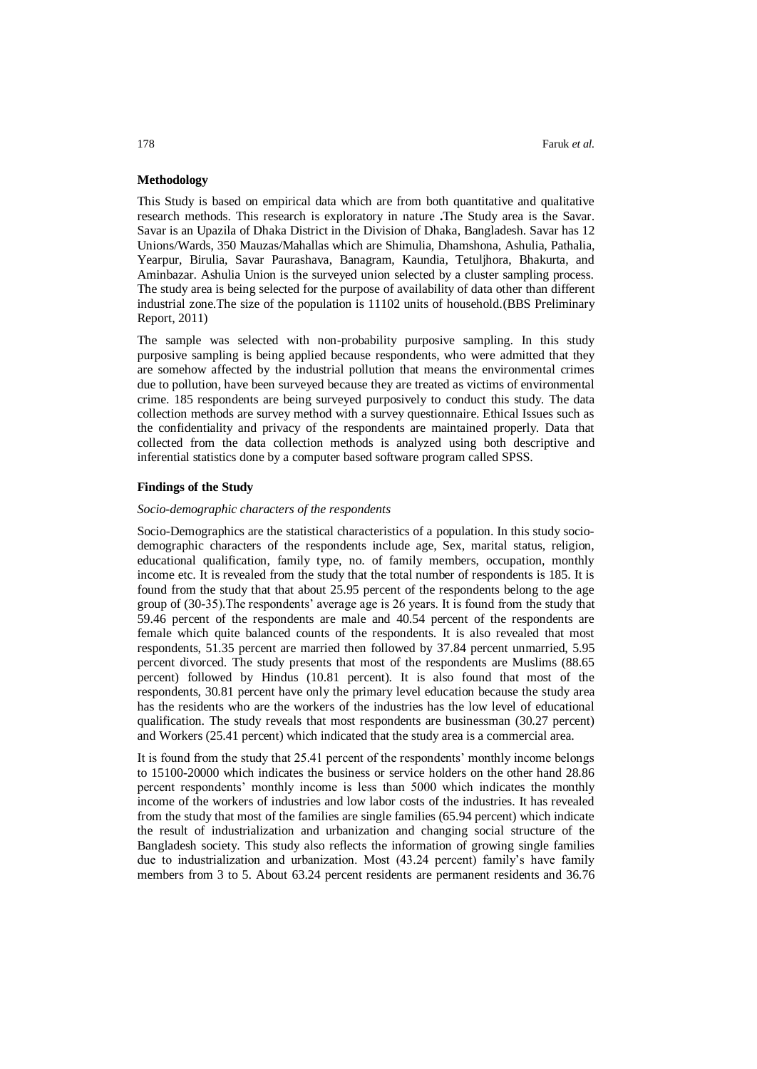## **Methodology**

This Study is based on empirical data which are from both quantitative and qualitative research methods. This research is exploratory in nature **.**The Study area is the Savar. Savar is a[n Upazila](http://en.wikipedia.org/wiki/Upazila) of [Dhaka District](http://en.wikipedia.org/wiki/Dhaka_District) in the Division of [Dhaka,](http://en.wikipedia.org/wiki/Dhaka_Division) [Bangladesh.](http://en.wikipedia.org/wiki/Bangladesh) Savar has 12 Unions/Wards, 350 Mauzas/Mahallas which are Shimulia, Dhamshona, Ashulia, Pathalia, Yearpur, Birulia, Savar Paurashava, Banagram, Kaundia, Tetuljhora, Bhakurta, and Aminbazar. Ashulia Union is the surveyed union selected by a cluster sampling process. The study area is being selected for the purpose of availability of data other than different industrial zone.The size of the population is 11102 units of household.(BBS Preliminary Report, 2011)

The sample was selected with non-probability purposive sampling. In this study purposive sampling is being applied because respondents, who were admitted that they are somehow affected by the industrial pollution that means the environmental crimes due to pollution, have been surveyed because they are treated as victims of environmental crime. 185 respondents are being surveyed purposively to conduct this study. The data collection methods are survey method with a survey questionnaire. Ethical Issues such as the confidentiality and privacy of the respondents are maintained properly. Data that collected from the data collection methods is analyzed using both descriptive and inferential statistics done by a computer based software program called SPSS.

## **Findings of the Study**

# *Socio-demographic characters of the respondents*

Socio-Demographics are the statistical characteristics of a [population.](http://en.wikipedia.org/wiki/Population) In this study sociodemographic characters of the respondents include age, Sex, marital status, religion, educational qualification, family type, no. of family members, occupation, monthly income etc. It is revealed from the study that the total number of respondents is 185. It is found from the study that that about 25.95 percent of the respondents belong to the age group of (30-35).The respondents' average age is 26 years. It is found from the study that 59.46 percent of the respondents are male and 40.54 percent of the respondents are female which quite balanced counts of the respondents. It is also revealed that most respondents, 51.35 percent are married then followed by 37.84 percent unmarried, 5.95 percent divorced. The study presents that most of the respondents are Muslims (88.65 percent) followed by Hindus (10.81 percent). It is also found that most of the respondents, 30.81 percent have only the primary level education because the study area has the residents who are the workers of the industries has the low level of educational qualification. The study reveals that most respondents are businessman (30.27 percent) and Workers (25.41 percent) which indicated that the study area is a commercial area.

It is found from the study that 25.41 percent of the respondents' monthly income belongs to 15100-20000 which indicates the business or service holders on the other hand 28.86 percent respondents' monthly income is less than 5000 which indicates the monthly income of the workers of industries and low labor costs of the industries. It has revealed from the study that most of the families are single families (65.94 percent) which indicate the result of industrialization and urbanization and changing social structure of the Bangladesh society. This study also reflects the information of growing single families due to industrialization and urbanization. Most (43.24 percent) family's have family members from 3 to 5. About 63.24 percent residents are permanent residents and 36.76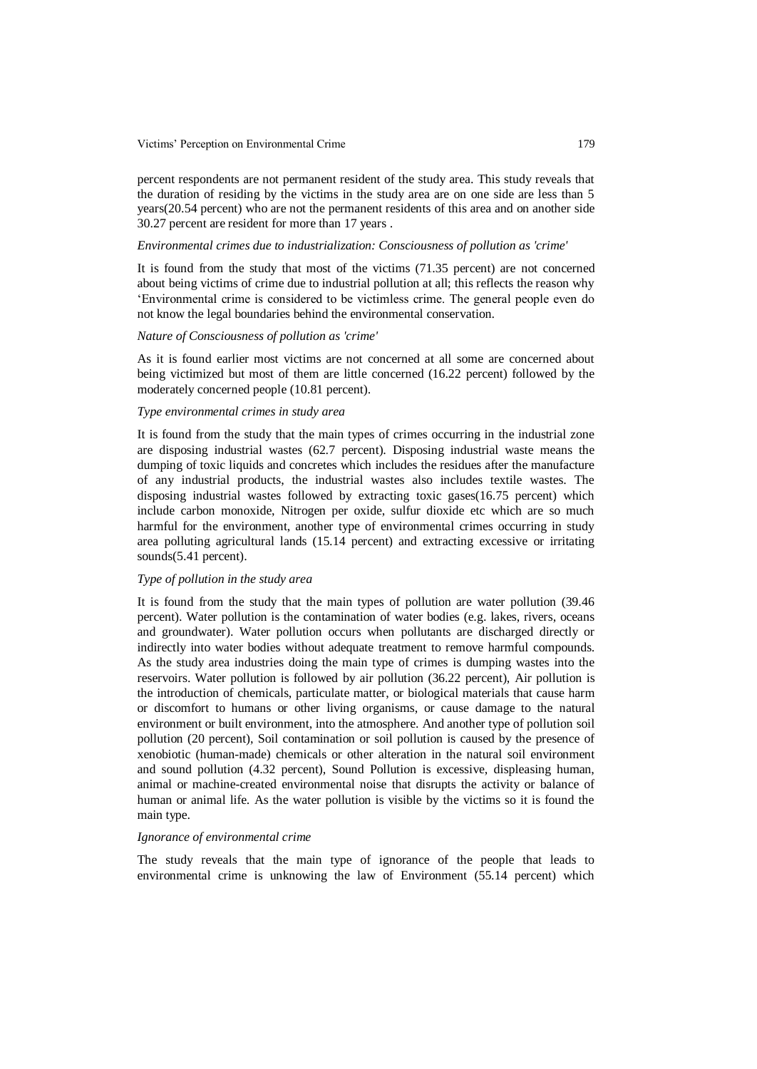Victims' Perception on Environmental Crime 179

percent respondents are not permanent resident of the study area. This study reveals that the duration of residing by the victims in the study area are on one side are less than 5 years(20.54 percent) who are not the permanent residents of this area and on another side 30.27 percent are resident for more than 17 years .

#### *Environmental crimes due to industrialization: Consciousness of pollution as 'crime'*

It is found from the study that most of the victims (71.35 percent) are not concerned about being victims of crime due to industrial pollution at all; this reflects the reason why 'Environmental crime is considered to be victimless crime. The general people even do not know the legal boundaries behind the environmental conservation.

## *Nature of Consciousness of pollution as 'crime'*

As it is found earlier most victims are not concerned at all some are concerned about being victimized but most of them are little concerned (16.22 percent) followed by the moderately concerned people (10.81 percent).

# *Type environmental crimes in study area*

It is found from the study that the main types of crimes occurring in the industrial zone are disposing industrial wastes (62.7 percent). Disposing industrial waste means the dumping of toxic liquids and concretes which includes the residues after the manufacture of any industrial products, the industrial wastes also includes textile wastes. The disposing industrial wastes followed by extracting toxic gases(16.75 percent) which include carbon monoxide, Nitrogen per oxide, sulfur dioxide etc which are so much harmful for the environment, another type of environmental crimes occurring in study area polluting agricultural lands (15.14 percent) and extracting excessive or irritating sounds(5.41 percent).

# *Type of pollution in the study area*

It is found from the study that the main types of pollution are water pollution (39.46 percent). Water pollution is the contamination of [water](http://en.wikipedia.org/wiki/Water) bodies (e.g. [lakes,](http://en.wikipedia.org/wiki/Lake) [rivers,](http://en.wikipedia.org/wiki/River) [oceans](http://en.wikipedia.org/wiki/Ocean) and [groundwater\)](http://en.wikipedia.org/wiki/Groundwater). Water pollution occurs when [pollutants](http://en.wikipedia.org/wiki/Pollutant) are discharged directly or indirectly into water bodies without adequate [treatment](http://en.wikipedia.org/wiki/Water_treatment) to remove harmful compounds. As the study area industries doing the main type of crimes is dumping wastes into the reservoirs. Water pollution is followed by air pollution (36.22 percent), Air pollution is the introduction of [chemicals,](http://en.wikipedia.org/wiki/Chemical) [particulate matter,](http://en.wikipedia.org/wiki/Particulate_matter) or [biological materials](http://en.wikipedia.org/wiki/Biomolecule) that cause harm or discomfort to humans or other living organisms, or cause damage to the [natural](http://en.wikipedia.org/wiki/Natural_environment)  [environment](http://en.wikipedia.org/wiki/Natural_environment) or [built environment,](http://en.wikipedia.org/wiki/Built_environment) into the [atmosphere.](http://en.wikipedia.org/wiki/Earth%27s_atmosphere) And another type of pollution soil pollution (20 percent), Soil contamination or soil [pollution](http://en.wikipedia.org/wiki/Pollution) is caused by the presence of [xenobiotic](http://en.wikipedia.org/wiki/Xenobiotic) (human-made) chemicals or other alteration in the natural soil environment and sound pollution (4.32 percent), Sound Pollution is excessive, displeasing human, animal or machine-created [environmental noise](http://en.wikipedia.org/wiki/Environmental_noise) that disrupts the activity or balance of human or animal life. As the water pollution is visible by the victims so it is found the main type.

#### *Ignorance of environmental crime*

The study reveals that the main type of ignorance of the people that leads to environmental crime is unknowing the law of Environment (55.14 percent) which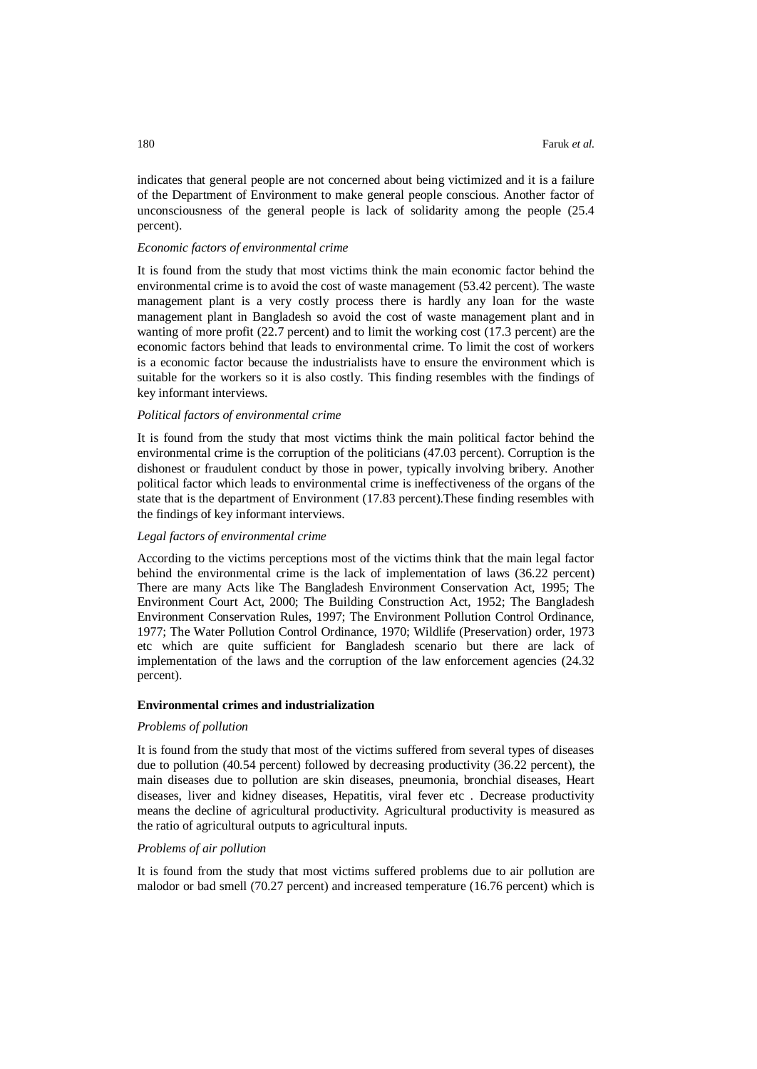indicates that general people are not concerned about being victimized and it is a failure of the Department of Environment to make general people conscious. Another factor of unconsciousness of the general people is lack of solidarity among the people (25.4 percent).

#### *Economic factors of environmental crime*

It is found from the study that most victims think the main economic factor behind the environmental crime is to avoid the cost of waste management (53.42 percent). The waste management plant is a very costly process there is hardly any loan for the waste management plant in Bangladesh so avoid the cost of waste management plant and in wanting of more profit (22.7 percent) and to limit the working cost (17.3 percent) are the economic factors behind that leads to environmental crime. To limit the cost of workers is a economic factor because the industrialists have to ensure the environment which is suitable for the workers so it is also costly. This finding resembles with the findings of key informant interviews.

## *Political factors of environmental crime*

It is found from the study that most victims think the main political factor behind the environmental crime is the corruption of the politicians (47.03 percent). Corruption is the dishonest or fraudulent conduct by those in power, typically involving bribery. Another political factor which leads to environmental crime is ineffectiveness of the organs of the state that is the department of Environment (17.83 percent).These finding resembles with the findings of key informant interviews.

## *Legal factors of environmental crime*

According to the victims perceptions most of the victims think that the main legal factor behind the environmental crime is the lack of implementation of laws (36.22 percent) There are many Acts like The Bangladesh Environment Conservation Act, 1995; The Environment Court Act, 2000; The Building Construction Act, 1952; The Bangladesh Environment Conservation Rules, 1997; The Environment Pollution Control Ordinance, 1977; The Water Pollution Control Ordinance, 1970; Wildlife (Preservation) order, 1973 etc which are quite sufficient for Bangladesh scenario but there are lack of implementation of the laws and the corruption of the law enforcement agencies (24.32 percent).

#### **Environmental crimes and industrialization**

#### *Problems of pollution*

It is found from the study that most of the victims suffered from several types of diseases due to pollution (40.54 percent) followed by decreasing productivity (36.22 percent), the main diseases due to pollution are skin diseases, pneumonia, bronchial diseases, Heart diseases, liver and kidney diseases, Hepatitis, viral fever etc . Decrease productivity means the decline of agricultural productivity. Agricultural productivity is measured as the ratio of agricultural [outputs](http://en.wikipedia.org/wiki/Output) to [agricultural](http://en.wikipedia.org/wiki/Agriculture) inputs.

## *Problems of air pollution*

It is found from the study that most victims suffered problems due to air pollution are malodor or bad smell (70.27 percent) and increased temperature (16.76 percent) which is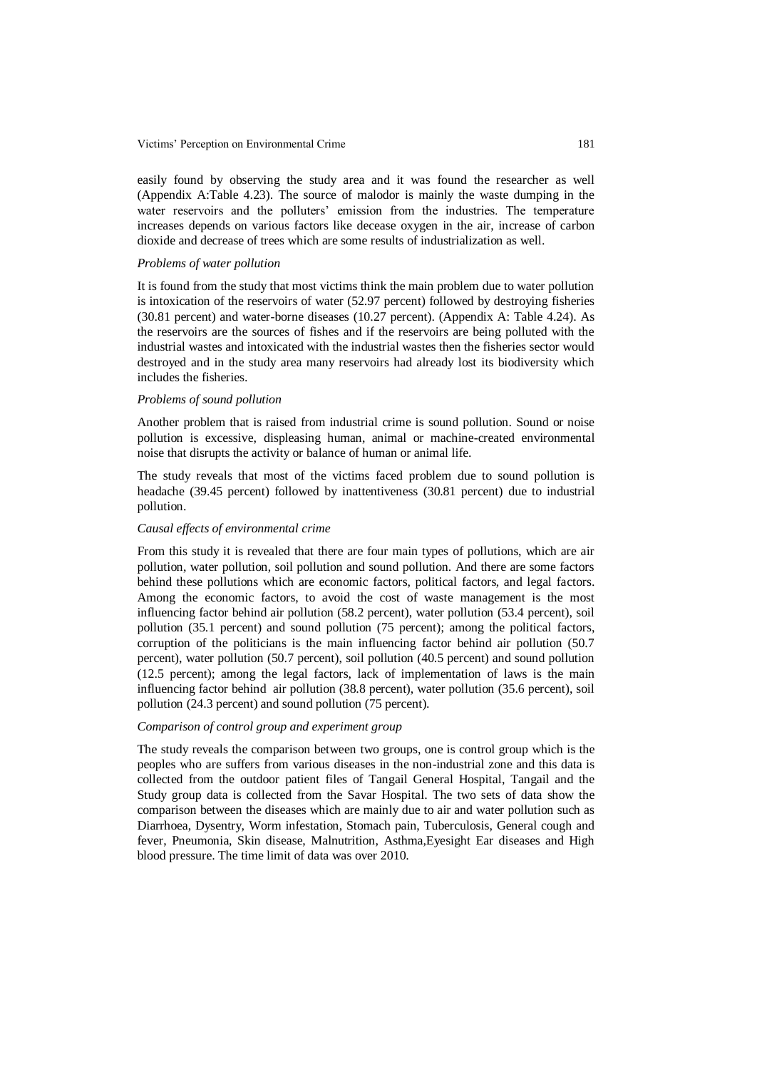Victims' Perception on Environmental Crime 181

easily found by observing the study area and it was found the researcher as well (Appendix A:Table 4.23). The source of malodor is mainly the waste dumping in the water reservoirs and the polluters' emission from the industries. The temperature increases depends on various factors like decease oxygen in the air, increase of carbon dioxide and decrease of trees which are some results of industrialization as well.

#### *Problems of water pollution*

It is found from the study that most victims think the main problem due to water pollution is intoxication of the reservoirs of water (52.97 percent) followed by destroying fisheries (30.81 percent) and water-borne diseases (10.27 percent). (Appendix A: Table 4.24). As the reservoirs are the sources of fishes and if the reservoirs are being polluted with the industrial wastes and intoxicated with the industrial wastes then the fisheries sector would destroyed and in the study area many reservoirs had already lost its biodiversity which includes the fisheries.

## *Problems of sound pollution*

Another problem that is raised from industrial crime is sound pollution. Sound or noise pollution is excessive, displeasing human, animal or machine-created [environmental](http://en.wikipedia.org/wiki/Environmental_noise)  [noise](http://en.wikipedia.org/wiki/Environmental_noise) that disrupts the activity or balance of human or animal life.

The study reveals that most of the victims faced problem due to sound pollution is headache (39.45 percent) followed by inattentiveness (30.81 percent) due to industrial pollution.

## *Causal effects of environmental crime*

From this study it is revealed that there are four main types of pollutions, which are air pollution, water pollution, soil pollution and sound pollution. And there are some factors behind these pollutions which are economic factors, political factors, and legal factors. Among the economic factors, to avoid the cost of waste management is the most influencing factor behind air pollution (58.2 percent), water pollution (53.4 percent), soil pollution (35.1 percent) and sound pollution (75 percent); among the political factors, corruption of the politicians is the main influencing factor behind air pollution (50.7 percent), water pollution (50.7 percent), soil pollution (40.5 percent) and sound pollution (12.5 percent); among the legal factors, lack of implementation of laws is the main influencing factor behind air pollution (38.8 percent), water pollution (35.6 percent), soil pollution (24.3 percent) and sound pollution (75 percent).

#### *Comparison of control group and experiment group*

The study reveals the comparison between two groups, one is control group which is the peoples who are suffers from various diseases in the non-industrial zone and this data is collected from the outdoor patient files of Tangail General Hospital, Tangail and the Study group data is collected from the Savar Hospital. The two sets of data show the comparison between the diseases which are mainly due to air and water pollution such as Diarrhoea, Dysentry, Worm infestation, Stomach pain, Tuberculosis, General cough and fever, Pneumonia, Skin disease, Malnutrition, Asthma,Eyesight Ear diseases and High blood pressure. The time limit of data was over 2010.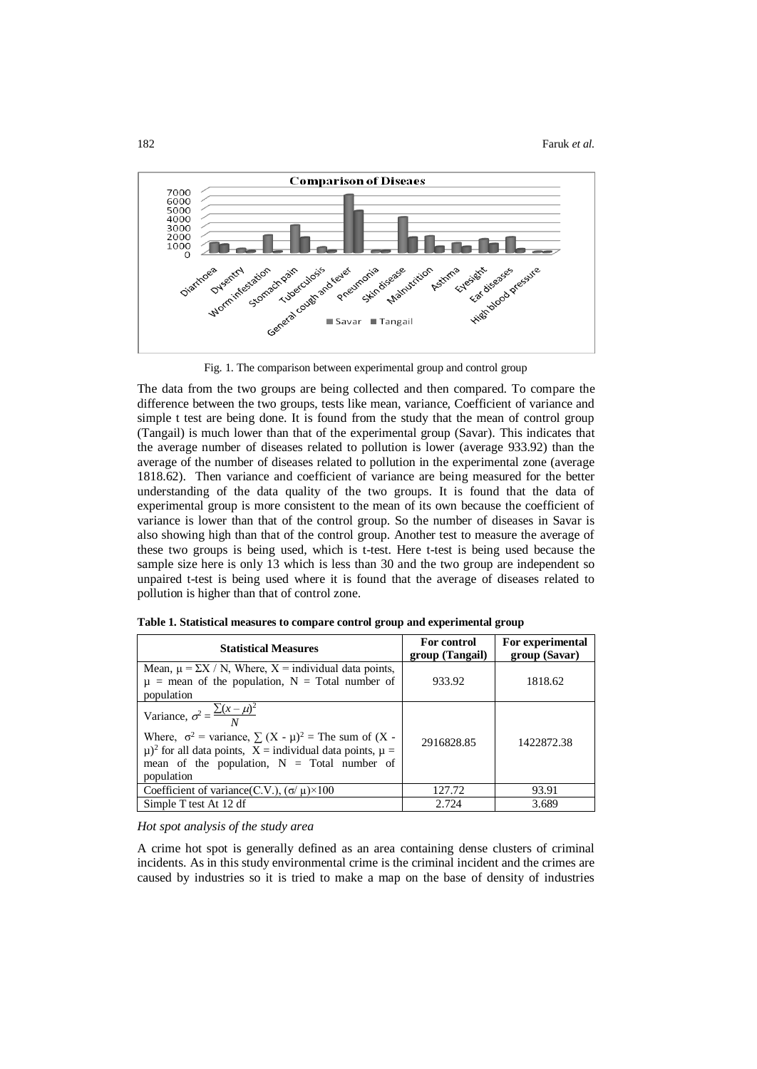

Fig. 1. The comparison between experimental group and control group

The data from the two groups are being collected and then compared. To compare the difference between the two groups, tests like mean, variance, Coefficient of variance and simple t test are being done. It is found from the study that the mean of control group (Tangail) is much lower than that of the experimental group (Savar). This indicates that the average number of diseases related to pollution is lower (average 933.92) than the average of the number of diseases related to pollution in the experimental zone (average 1818.62). Then variance and coefficient of variance are being measured for the better understanding of the data quality of the two groups. It is found that the data of experimental group is more consistent to the mean of its own because the coefficient of variance is lower than that of the control group. So the number of diseases in Savar is also showing high than that of the control group. Another test to measure the average of these two groups is being used, which is t-test. Here t-test is being used because the sample size here is only 13 which is less than 30 and the two group are independent so unpaired t-test is being used where it is found that the average of diseases related to pollution is higher than that of control zone.

| <b>Statistical Measures</b>                                                                                                                                                                                                                                           | For control<br>group (Tangail) | For experimental<br>group (Savar) |  |
|-----------------------------------------------------------------------------------------------------------------------------------------------------------------------------------------------------------------------------------------------------------------------|--------------------------------|-----------------------------------|--|
| Mean, $\mu = \Sigma X / N$ , Where, $X =$ individual data points,<br>$\mu$ = mean of the population, N = Total number of<br>population                                                                                                                                | 933.92                         | 1818.62                           |  |
| Variance, $\sigma^2 = \frac{\sum (x - \mu)^2}{N}$<br>Where, $\sigma^2$ = variance, $\sum (X - \mu)^2$ = The sum of (X -<br>$(\mu)^2$ for all data points, $X =$ individual data points, $\mu =$<br>mean of the population, $N = \text{Total number of}$<br>population | 2916828.85                     | 1422872.38                        |  |
| Coefficient of variance(C.V.), $(\sigma/\mu) \times 100$                                                                                                                                                                                                              | 127.72                         | 93.91                             |  |
| Simple T test At 12 df                                                                                                                                                                                                                                                | 2.724                          | 3.689                             |  |

|  |  | Table 1. Statistical measures to compare control group and experimental group |  |  |
|--|--|-------------------------------------------------------------------------------|--|--|
|  |  |                                                                               |  |  |

## *Hot spot analysis of the study area*

A crime hot spot is generally defined as an area containing dense clusters of criminal incidents. As in this study environmental crime is the criminal incident and the crimes are caused by industries so it is tried to make a map on the base of density of industries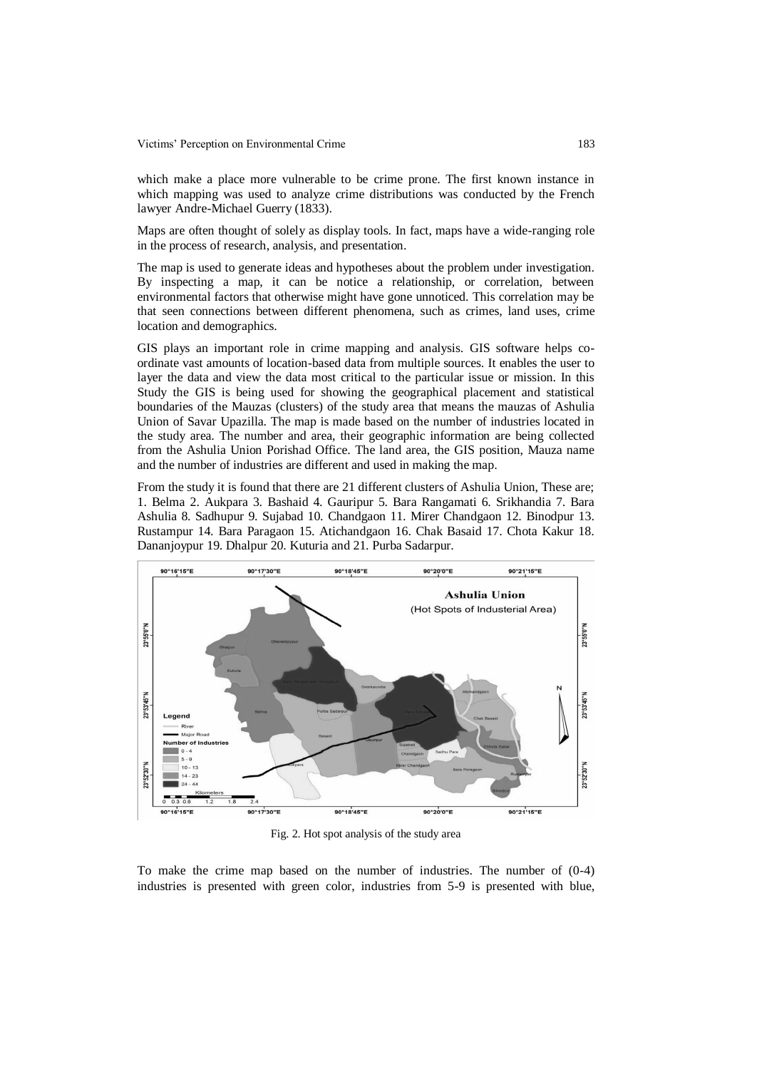which make a place more vulnerable to be crime prone. The first known instance in which mapping was used to analyze crime distributions was conducted by the French lawyer Andre-Michael Guerry (1833).

Maps are often thought of solely as display tools. In fact, maps have a wide-ranging role in the process of research, analysis, and presentation.

The map is used to generate ideas and hypotheses about the problem under investigation. By inspecting a map, it can be notice a relationship, or correlation, between environmental factors that otherwise might have gone unnoticed. This correlation may be that seen connections between different phenomena, such as crimes, land uses, crime location and demographics.

GIS plays an important role in crime mapping and analysis. GIS software helps coordinate vast amounts of location-based data from multiple sources. It enables the user to layer the data and view the data most critical to the particular issue or mission. In this Study the GIS is being used for showing the geographical placement and statistical boundaries of the Mauzas (clusters) of the study area that means the mauzas of Ashulia Union of Savar Upazilla. The map is made based on the number of industries located in the study area. The number and area, their geographic information are being collected from the Ashulia Union Porishad Office. The land area, the GIS position, Mauza name and the number of industries are different and used in making the map.

From the study it is found that there are 21 different clusters of Ashulia Union, These are; 1. Belma 2. Aukpara 3. Bashaid 4. Gauripur 5. Bara Rangamati 6. Srikhandia 7. Bara Ashulia 8. Sadhupur 9. Sujabad 10. Chandgaon 11. Mirer Chandgaon 12. Binodpur 13. Rustampur 14. Bara Paragaon 15. Atichandgaon 16. Chak Basaid 17. Chota Kakur 18. Dananjoypur 19. Dhalpur 20. Kuturia and 21. Purba Sadarpur.



Fig. 2. Hot spot analysis of the study area

To make the crime map based on the number of industries. The number of (0-4) industries is presented with green color, industries from 5-9 is presented with blue,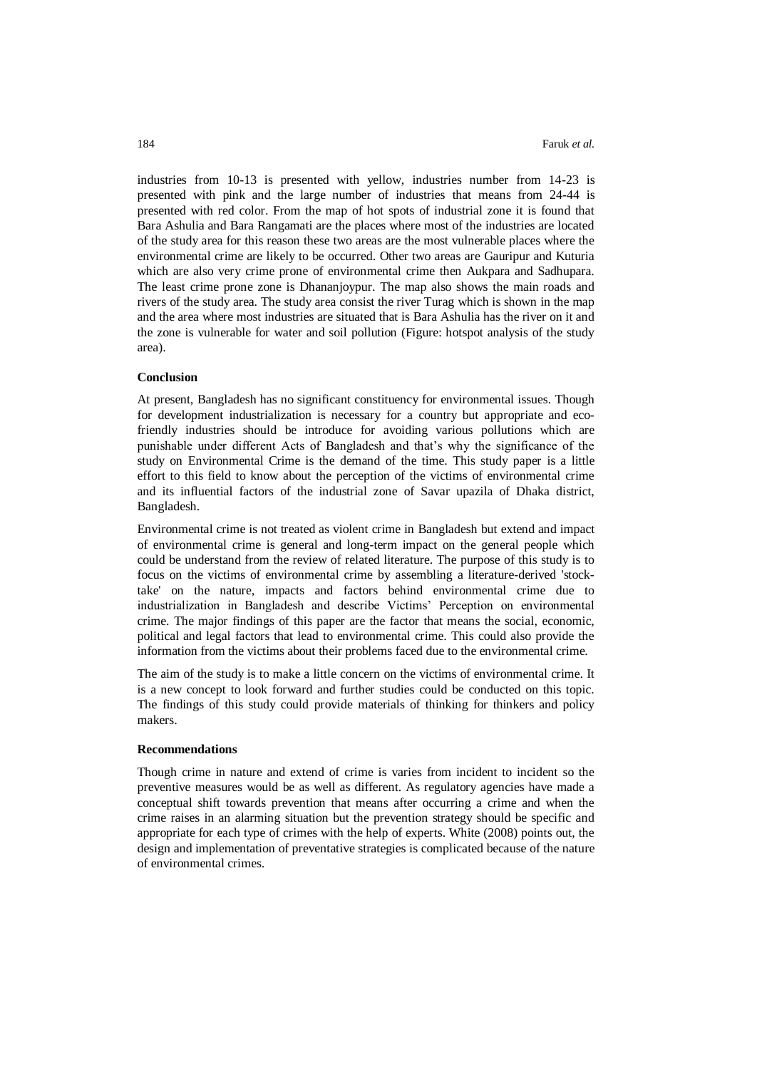industries from 10-13 is presented with yellow, industries number from 14-23 is presented with pink and the large number of industries that means from 24-44 is presented with red color. From the map of hot spots of industrial zone it is found that Bara Ashulia and Bara Rangamati are the places where most of the industries are located of the study area for this reason these two areas are the most vulnerable places where the environmental crime are likely to be occurred. Other two areas are Gauripur and Kuturia which are also very crime prone of environmental crime then Aukpara and Sadhupara. The least crime prone zone is Dhananjoypur. The map also shows the main roads and rivers of the study area. The study area consist the river Turag which is shown in the map and the area where most industries are situated that is Bara Ashulia has the river on it and the zone is vulnerable for water and soil pollution (Figure: hotspot analysis of the study area).

#### **Conclusion**

At present, Bangladesh has no significant constituency for environmental issues. Though for development industrialization is necessary for a country but appropriate and ecofriendly industries should be introduce for avoiding various pollutions which are punishable under different Acts of Bangladesh and that's why the significance of the study on Environmental Crime is the demand of the time. This study paper is a little effort to this field to know about the perception of the victims of environmental crime and its influential factors of the industrial zone of Savar upazila of Dhaka district, Bangladesh.

Environmental crime is not treated as violent crime in Bangladesh but extend and impact of environmental crime is general and long-term impact on the general people which could be understand from the review of related literature. The purpose of this study is to focus on the victims of environmental crime by assembling a literature-derived 'stocktake' on the nature, impacts and factors behind environmental crime due to industrialization in Bangladesh and describe Victims' Perception on environmental crime. The major findings of this paper are the factor that means the social, economic, political and legal factors that lead to environmental crime. This could also provide the information from the victims about their problems faced due to the environmental crime.

The aim of the study is to make a little concern on the victims of environmental crime. It is a new concept to look forward and further studies could be conducted on this topic. The findings of this study could provide materials of thinking for thinkers and policy makers.

# **Recommendations**

Though crime in nature and extend of crime is varies from incident to incident so the preventive measures would be as well as different. As regulatory agencies have made a conceptual shift towards prevention that means after occurring a crime and when the crime raises in an alarming situation but the prevention strategy should be specific and appropriate for each type of crimes with the help of experts. White (2008) points out, the design and implementation of preventative strategies is complicated because of the nature of environmental crimes.